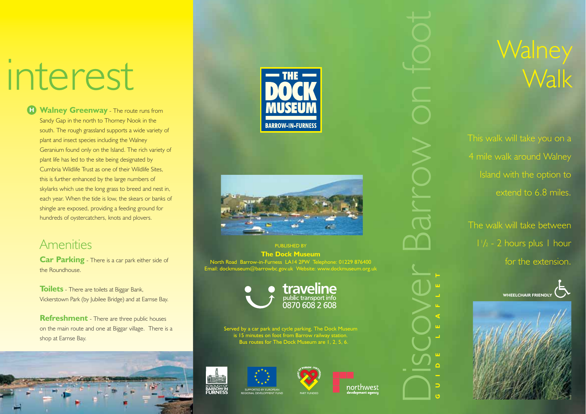# interest

**H** Walney Greenway - The route runs from Sandy Gap in the north to Thorney Nook in the south. The rough grassland supports a wide variety of plant and insect species including the Walney Geranium found only on the Island. The rich variety of plant life has led to the site being designated by Cumbria Wildlife Trust as one of their Wildlife Sites, this is further enhanced by the large numbers of skylarks which use the long grass to breed and nest in, each year. When the tide is low, the skears or banks of shingle are exposed, providing a feeding ground for hundreds of oystercatchers, knots and plovers.

#### Amenities

**Car Parking** - There is a car park either side of the Roundhouse.

**Toilets** - There are toilets at Biggar Bank, Vickerstown Park (by Jubilee Bridge) and at Earnse Bay.

**Refreshment** - There are three public houses on the main route and one at Biggar village. There is a shop at Earnse Bay.







PUBLISHED BY **The Dock Museum** North Road Barrow-in-Furness LA14 2PW Telephone: 01229 876400 Email: dockmuseum@barrowbc.gov.uk Website: www.dockmuseum.org.uk



Served by a car park and cycle parking, The Dock Museum is 15 minutes on foot from Barrow railway station. Bus routes for The Dock Museum are 1, 2, 5, 6.







northwest

**GUIDE LEAFLET**

Discover Barrow on foot

### **Walney Walk**

This walk will take you on a 4 mile walk around Walney Island with the option to extend to 6.8 miles.

The walk will take between 11 /2 - 2 hours plus 1 hour for the extension.



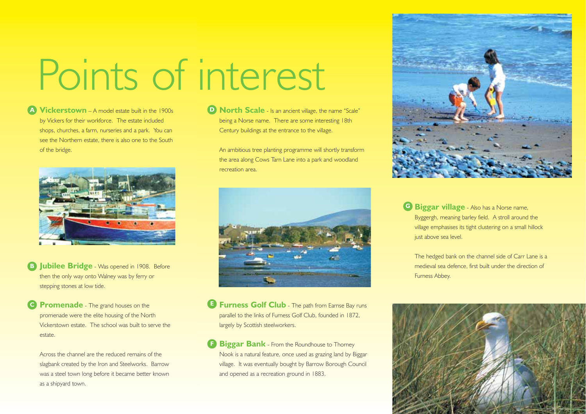## Points of interest

**Vickerstown** – A model estate built in the 1900s **A** by Vickers for their workforce. The estate included shops, churches, a farm, nurseries and a park. You can see the Northern estate, there is also one to the South of the bridge.



- **B Jubilee Bridge** Was opened in 1908. Before then the only way onto Walney was by ferry or stepping stones at low tide.
- **Promenade** The grand houses on the promenade were the elite housing of the North Vickerstown estate. The school was built to serve the estate.

Across the channel are the reduced remains of the slagbank created by the Iron and Steelworks. Barrow was a steel town long before it became better known as a shipyard town.

**North Scale** - Is an ancient village, the name "Scale" **D** being a Norse name. There are some interesting 18th Century buildings at the entrance to the village.

An ambitious tree planting programme will shortly transform the area along Cows Tarn Lane into a park and woodland recreation area.



**Furness Golf Club** - The path from Earnse Bay runs parallel to the links of Furness Golf Club, founded in 1872, largely by Scottish steelworkers.

**Biggar Bank** - From the Roundhouse to Thorney Nook is a natural feature, once used as grazing land by Biggar village. It was eventually bought by Barrow Borough Council and opened as a recreation ground in 1883.



**G** Biggar village - Also has a Norse name, Byggergh, meaning barley field. A stroll around the village emphasises its tight clustering on a small hillock just above sea level.

The hedged bank on the channel side of Carr Lane is a medieval sea defence, first built under the direction of Furness Abbey.